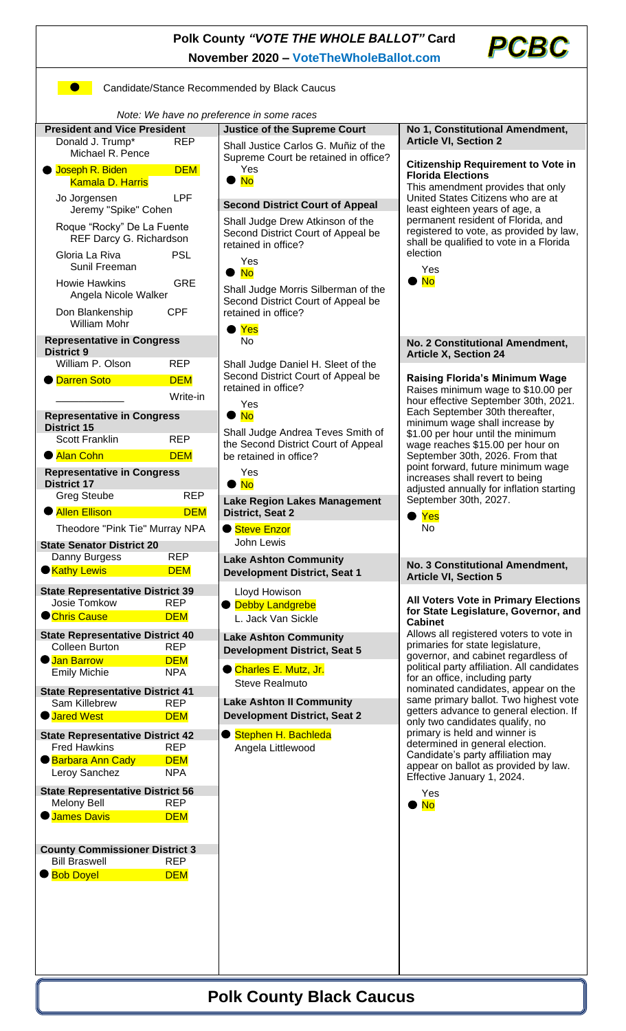## **Polk County** *"VOTE THE WHOLE BALLOT"* **Card November 2020 – [VoteTheWholeBallot.com](http://www.votethewholeballot.com/)**

**Candidate/Stance Recommended by Black Caucus** 



 *Note: We have no preference in some races* **President and Vice President**  Donald J. Trump\* Michael R. Pence Joseph R. Biden Kamala D. Harris Jo Jorgensen Jeremy "Spike" C Roque "Rocky" De L REF Darcy G. Ri Gloria La Riva Sunil Freeman Howie Hawkins Angela Nicole Wa Don Blankenship William Mohr **Representative in Co District 9** William P. Olson ● <mark>Darren Soto</mark> D \_\_\_\_\_\_\_\_\_\_\_\_ Write-in **Representative in Co District 15** Scott Franklin ● Alan Cohn **Representative in Co District 17** Greg Steube **Allen Ellison** Theodore "Pink Tie' **State Senator District** Danny Burgess ● <mark>Kathy Lewis</mark> **State Representative** Josie Tomkow **Chris Cause State Representative** Colleen Burton **Jan Barrow Emily Michie State Representative** Sam Killebrew **O** Jared West **State Representative** Fred Hawkins **Barbara Ann Cady** Leroy Sanchez **State Representative** Melony Bell **James Davis County Commissione Bill Braswell** ● Bob Doyel

| resident                           | <b>Justice of the Supreme Court</b>                                        | No 1, Constitutional Amendment,                                                                                                                                            |
|------------------------------------|----------------------------------------------------------------------------|----------------------------------------------------------------------------------------------------------------------------------------------------------------------------|
| <b>REP</b>                         | Shall Justice Carlos G. Muñiz of the                                       | <b>Article VI, Section 2</b>                                                                                                                                               |
| е                                  | Supreme Court be retained in office?                                       | <b>Citizenship Requirement to Vote in</b>                                                                                                                                  |
| <b>DEM</b>                         | Yes<br><b>No</b>                                                           | <b>Florida Elections</b><br>This amendment provides that only<br>United States Citizens who are at<br>least eighteen years of age, a<br>permanent resident of Florida, and |
| <b>LPF</b>                         |                                                                            |                                                                                                                                                                            |
| Cohen                              | <b>Second District Court of Appeal</b><br>Shall Judge Drew Atkinson of the |                                                                                                                                                                            |
| <sub>-</sub> a Fuente<br>ichardson | Second District Court of Appeal be                                         | registered to vote, as provided by law,                                                                                                                                    |
|                                    | retained in office?                                                        | shall be qualified to vote in a Florida<br>election                                                                                                                        |
| <b>PSL</b>                         | Yes                                                                        | Yes                                                                                                                                                                        |
| <b>GRE</b>                         | <b>No</b><br>$\bullet$                                                     | <b>No</b>                                                                                                                                                                  |
| 'alker                             | Shall Judge Morris Silberman of the<br>Second District Court of Appeal be  |                                                                                                                                                                            |
| <b>CPF</b>                         | retained in office?                                                        |                                                                                                                                                                            |
|                                    | Yes                                                                        |                                                                                                                                                                            |
| ngress                             | No                                                                         | No. 2 Constitutional Amendment,                                                                                                                                            |
| <b>REP</b>                         | Shall Judge Daniel H. Sleet of the                                         | <b>Article X, Section 24</b>                                                                                                                                               |
| <b>DEM</b>                         | Second District Court of Appeal be                                         | <b>Raising Florida's Minimum Wage</b>                                                                                                                                      |
| Write-in                           | retained in office?                                                        | Raises minimum wage to \$10.00 per<br>hour effective September 30th, 2021.                                                                                                 |
| ngress                             | Yes<br>$\bullet$ No                                                        | Each September 30th thereafter,                                                                                                                                            |
|                                    | Shall Judge Andrea Teves Smith of                                          | minimum wage shall increase by<br>\$1.00 per hour until the minimum                                                                                                        |
| <b>REP</b>                         | the Second District Court of Appeal                                        | wage reaches \$15.00 per hour on                                                                                                                                           |
| <b>DEM</b>                         | be retained in office?                                                     | September 30th, 2026. From that<br>point forward, future minimum wage                                                                                                      |
| ngress                             | Yes<br><b>No</b>                                                           | increases shall revert to being                                                                                                                                            |
| <b>REP</b>                         | <b>Lake Region Lakes Management</b>                                        | adjusted annually for inflation starting<br>September 30th, 2027.                                                                                                          |
| <b>DEM</b>                         | District, Seat 2                                                           | Yes                                                                                                                                                                        |
| Murray NPA                         | ● Steve Enzor                                                              | No                                                                                                                                                                         |
| 20                                 | John Lewis                                                                 |                                                                                                                                                                            |
| <b>REP</b>                         | <b>Lake Ashton Community</b>                                               | No. 3 Constitutional Amendment,                                                                                                                                            |
| <b>DEM</b>                         | <b>Development District, Seat 1</b>                                        | <b>Article VI, Section 5</b>                                                                                                                                               |
| <b>District 39</b><br><b>REP</b>   | Lloyd Howison                                                              | <b>All Voters Vote in Primary Elections</b>                                                                                                                                |
| <b>DEM</b>                         | <b>Debby Landgrebe</b><br>L. Jack Van Sickle                               | for State Legislature, Governor, and                                                                                                                                       |
| District 40                        |                                                                            | <b>Cabinet</b><br>Allows all registered voters to vote in                                                                                                                  |
| <b>REP</b>                         | <b>Lake Ashton Community</b><br><b>Development District, Seat 5</b>        | primaries for state legislature,                                                                                                                                           |
| <b>DEM</b>                         | Charles E. Mutz, Jr.                                                       | governor, and cabinet regardless of<br>political party affiliation. All candidates                                                                                         |
| <b>NPA</b>                         | <b>Steve Realmuto</b>                                                      | for an office, including party                                                                                                                                             |
| <b>District 41</b><br><b>REP</b>   | <b>Lake Ashton II Community</b>                                            | nominated candidates, appear on the<br>same primary ballot. Two highest vote                                                                                               |
| <b>DEM</b>                         | <b>Development District, Seat 2</b>                                        | getters advance to general election. If                                                                                                                                    |
| <b>District 42</b>                 | Stephen H. Bachleda                                                        | only two candidates qualify, no<br>primary is held and winner is                                                                                                           |
| <b>REP</b>                         | Angela Littlewood                                                          | determined in general election.<br>Candidate's party affiliation may                                                                                                       |
| <b>DEM</b><br><b>NPA</b>           |                                                                            | appear on ballot as provided by law.                                                                                                                                       |
|                                    |                                                                            | Effective January 1, 2024.                                                                                                                                                 |
| <b>District 56</b><br><b>REP</b>   |                                                                            | Yes<br><b>No</b>                                                                                                                                                           |
| <b>DEM</b>                         |                                                                            |                                                                                                                                                                            |
|                                    |                                                                            |                                                                                                                                                                            |
| r District 3                       |                                                                            |                                                                                                                                                                            |
| <b>REP</b>                         |                                                                            |                                                                                                                                                                            |
| <b>DEM</b>                         |                                                                            |                                                                                                                                                                            |
|                                    |                                                                            |                                                                                                                                                                            |
|                                    |                                                                            |                                                                                                                                                                            |
|                                    |                                                                            |                                                                                                                                                                            |
|                                    |                                                                            |                                                                                                                                                                            |

## **Polk County Black Caucus**